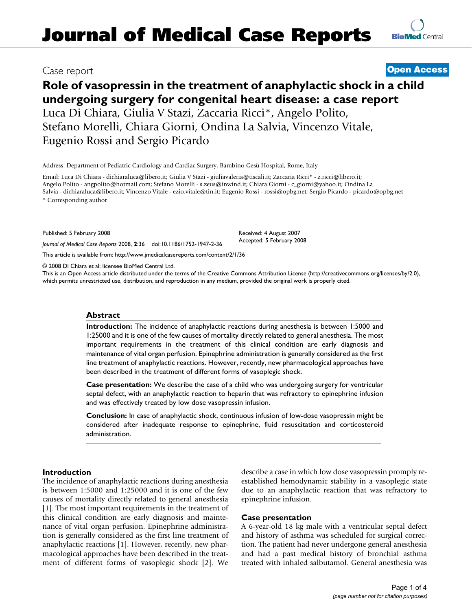# Case report **[Open Access](http://www.biomedcentral.com/info/about/charter/)**

# **Role of vasopressin in the treatment of anaphylactic shock in a child undergoing surgery for congenital heart disease: a case report** Luca Di Chiara, Giulia V Stazi, Zaccaria Ricci\*, Angelo Polito, Stefano Morelli, Chiara Giorni, Ondina La Salvia, Vincenzo Vitale, Eugenio Rossi and Sergio Picardo

Address: Department of Pediatric Cardiology and Cardiac Surgery, Bambino Gesù Hospital, Rome, Italy

Email: Luca Di Chiara - dichiaraluca@libero.it; Giulia V Stazi - giuliavaleria@tiscali.it; Zaccaria Ricci\* - z.ricci@libero.it; Angelo Polito - angpolito@hotmail.com; Stefano Morelli - s.zeus@inwind.it; Chiara Giorni - c\_giorni@yahoo.it; Ondina La Salvia - dichiaraluca@libero.it; Vincenzo Vitale - ezio.vitale@tin.it; Eugenio Rossi - rossi@opbg.net; Sergio Picardo - picardo@opbg.net

\* Corresponding author

Published: 5 February 2008

*Journal of Medical Case Reports* 2008, **2**:36 doi:10.1186/1752-1947-2-36

[This article is available from: http://www.jmedicalcasereports.com/content/2/1/36](http://www.jmedicalcasereports.com/content/2/1/36)

© 2008 Di Chiara et al; licensee BioMed Central Ltd.

This is an Open Access article distributed under the terms of the Creative Commons Attribution License [\(http://creativecommons.org/licenses/by/2.0\)](http://creativecommons.org/licenses/by/2.0), which permits unrestricted use, distribution, and reproduction in any medium, provided the original work is properly cited.

Received: 4 August 2007 Accepted: 5 February 2008

# **Abstract**

**Introduction:** The incidence of anaphylactic reactions during anesthesia is between 1:5000 and 1:25000 and it is one of the few causes of mortality directly related to general anesthesia. The most important requirements in the treatment of this clinical condition are early diagnosis and maintenance of vital organ perfusion. Epinephrine administration is generally considered as the first line treatment of anaphylactic reactions. However, recently, new pharmacological approaches have been described in the treatment of different forms of vasoplegic shock.

**Case presentation:** We describe the case of a child who was undergoing surgery for ventricular septal defect, with an anaphylactic reaction to heparin that was refractory to epinephrine infusion and was effectively treated by low dose vasopressin infusion.

**Conclusion:** In case of anaphylactic shock, continuous infusion of low-dose vasopressin might be considered after inadequate response to epinephrine, fluid resuscitation and corticosteroid administration.

# **Introduction**

The incidence of anaphylactic reactions during anesthesia is between 1:5000 and 1:25000 and it is one of the few causes of mortality directly related to general anesthesia [1]. The most important requirements in the treatment of this clinical condition are early diagnosis and maintenance of vital organ perfusion. Epinephrine administration is generally considered as the first line treatment of anaphylactic reactions [1]. However, recently, new pharmacological approaches have been described in the treatment of different forms of vasoplegic shock [2]. We describe a case in which low dose vasopressin promply reestablished hemodynamic stability in a vasoplegic state due to an anaphylactic reaction that was refractory to epinephrine infusion.

# **Case presentation**

A 6-year-old 18 kg male with a ventricular septal defect and history of asthma was scheduled for surgical correction. The patient had never undergone general anesthesia and had a past medical history of bronchial asthma treated with inhaled salbutamol. General anesthesia was

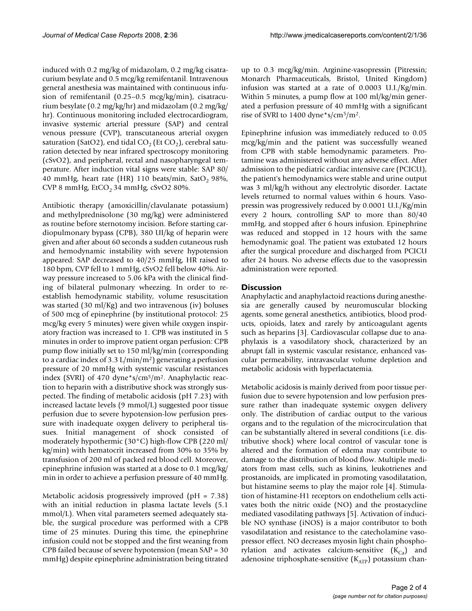induced with 0.2 mg/kg of midazolam, 0.2 mg/kg cisatracurium besylate and 0.5 mcg/kg remifentanil. Intravenous general anesthesia was maintained with continuous infusion of remifentanil (0.25–0.5 mcg/kg/min), cisatracurium besylate (0.2 mg/kg/hr) and midazolam (0.2 mg/kg/ hr). Continuous monitoring included electrocardiogram, invasive systemic arterial pressure (SAP) and central venous pressure (CVP), transcutaneous arterial oxygen saturation (SatO2), end tidal  $CO<sub>2</sub>$  (Et  $CO<sub>2</sub>$ ), cerebral saturation detected by near infrared spectroscopy monitoring (cSvO2), and peripheral, rectal and nasopharyngeal temperature. After induction vital signs were stable: SAP 80/ 40 mmHg, heart rate (HR) 110 beats/min, SatO<sub>2</sub> 98%, CVP 8 mmHg,  $ECO<sub>2</sub>$  34 mmHg, cSvO2 80%.

Antibiotic therapy (amoxicillin/clavulanate potassium) and methylprednisolone (30 mg/kg) were administered as routine before sternotomy incision. Before starting cardiopulmonary bypass (CPB), 380 UI/kg of heparin were given and after about 60 seconds a sudden cutaneous rush and hemodynamic instability with severe hypotension appeared: SAP decreased to 40/25 mmHg, HR raised to 180 bpm, CVP fell to 1 mmHg, cSvO2 fell below 40%. Airway pressure increased to 5.06 kPa with the clinical finding of bilateral pulmonary wheezing. In order to reestablish hemodynamic stability, volume resuscitation was started (30 ml/Kg) and two intravenous (iv) boluses of 500 mcg of epinephrine (by institutional protocol: 25 mcg/kg every 5 minutes) were given while oxygen inspiratory fraction was increased to 1. CPB was instituted in 5 minutes in order to improve patient organ perfusion: CPB pump flow initially set to 150 ml/kg/min (corresponding to a cardiac index of 3.3  $L/min/m<sup>2</sup>$  generating a perfusion pressure of 20 mmHg with systemic vascular resistances index (SVRI) of 470 dyne\*s/cm<sup>5</sup>/m<sup>2</sup>. Anaphylactic reaction to heparin with a distributive shock was strongly suspected. The finding of metabolic acidosis (pH 7.23) with increased lactate levels (9 mmol/L) suggested poor tissue perfusion due to severe hypotension-low perfusion pressure with inadequate oxygen delivery to peripheral tissues. Initial management of shock consisted of moderately hypothermic (30°C) high-flow CPB (220 ml/ kg/min) with hematocrit increased from 30% to 35% by transfusion of 200 ml of packed red blood cell. Moreover, epinephrine infusion was started at a dose to 0.1 mcg/kg/ min in order to achieve a perfusion pressure of 40 mmHg.

Metabolic acidosis progressively improved (pH = 7.38) with an initial reduction in plasma lactate levels (5.1 mmol/L). When vital parameters seemed adequately stable, the surgical procedure was performed with a CPB time of 25 minutes. During this time, the epinephrine infusion could not be stopped and the first weaning from CPB failed because of severe hypotension (mean SAP = 30 mmHg) despite epinephrine administration being titrated up to 0.3 mcg/kg/min. Arginine-vasopressin (Pitressin; Monarch Pharmaceuticals, Bristol, United Kingdom) infusion was started at a rate of 0.0003 U.I./Kg/min. Within 5 minutes, a pump flow at 100 ml/kg/min generated a perfusion pressure of 40 mmHg with a significant rise of SVRI to 1400 dyne\*s/cm5/m2.

Epinephrine infusion was immediately reduced to 0.05 mcg/kg/min and the patient was successfully weaned from CPB with stable hemodynamic parameters. Protamine was administered without any adverse effect. After admission to the pediatric cardiac intensive care (PCICU), the patient's hemodynamics were stable and urine output was 3 ml/kg/h without any electrolytic disorder. Lactate levels returned to normal values within 6 hours. Vasopressin was progressively reduced by 0.0001 U.I./Kg/min every 2 hours, controlling SAP to more than 80/40 mmHg, and stopped after 6 hours infusion. Epinephrine was reduced and stopped in 12 hours with the same hemodynamic goal. The patient was extubated 12 hours after the surgical procedure and discharged from PCICU after 24 hours. No adverse effects due to the vasopressin administration were reported.

### **Discussion**

Anaphylactic and anaphylactoid reactions during anesthesia are generally caused by neuromuscular blocking agents, some general anesthetics, antibiotics, blood products, opioids, latex and rarely by anticoagulant agents such as heparins [3]. Cardiovascular collapse due to anaphylaxis is a vasodilatory shock, characterized by an abrupt fall in systemic vascular resistance, enhanced vascular permeability, intravascular volume depletion and metabolic acidosis with hyperlactatemia.

Metabolic acidosis is mainly derived from poor tissue perfusion due to severe hypotension and low perfusion pressure rather than inadequate systemic oxygen delivery only. The distribution of cardiac output to the various organs and to the regulation of the microcirculation that can be substantially altered in several conditions (i.e. distributive shock) where local control of vascular tone is altered and the formation of edema may contribute to damage to the distribution of blood flow. Multiple mediators from mast cells, such as kinins, leukotrienes and prostanoids, are implicated in promoting vasodilatation, but histamine seems to play the major role [4]. Stimulation of histamine-H1 receptors on endothelium cells activates both the nitric oxide (NO) and the prostacycline mediated vasodilating pathways [5]. Activation of inducible NO synthase (iNOS) is a major contributor to both vasodilatation and resistance to the catecholamine vasopressor effect. NO decreases myosin light chain phosphorylation and activates calcium-sensitive  $(K_{Ca})$  and adenosine triphosphate-sensitive  $(K_{ATP})$  potassium chan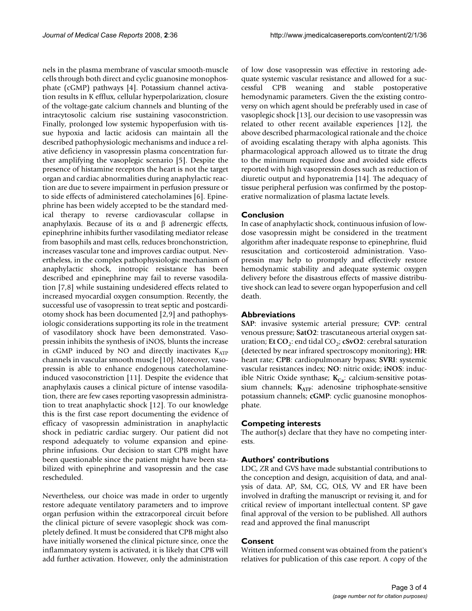nels in the plasma membrane of vascular smooth-muscle cells through both direct and cyclic guanosine monophosphate (cGMP) pathways [4]. Potassium channel activation results in K efflux, cellular hyperpolarization, closure of the voltage-gate calcium channels and blunting of the intracytosolic calcium rise sustaining vasoconstriction. Finally, prolonged low systemic hypoperfusion with tissue hypoxia and lactic acidosis can maintain all the described pathophysiologic mechanisms and induce a relative deficiency in vasopressin plasma concentration further amplifying the vasoplegic scenario [5]. Despite the presence of histamine receptors the heart is not the target organ and cardiac abnormalities during anaphylactic reaction are due to severe impairment in perfusion pressure or to side effects of administered catecholamines [6]. Epinephrine has been widely accepted to be the standard medical therapy to reverse cardiovascular collapse in anaphylaxis. Because of its α and β adrenergic effects, epinephrine inhibits further vasodilating mediator release from basophils and mast cells, reduces bronchonstriction, increases vascular tone and improves cardiac output. Nevertheless, in the complex pathophysiologic mechanism of anaphylactic shock, inotropic resistance has been described and epinephrine may fail to reverse vasodilation [7,8] while sustaining undesidered effects related to increased myocardial oxygen consumption. Recently, the successful use of vasopressin to treat septic and postcardiotomy shock has been documented [2,[9\]](#page-3-0) and pathophysiologic considerations supporting its role in the treatment of vasodilatory shock have been demonstrated. Vasopressin inhibits the synthesis of iNOS, blunts the increase in cGMP induced by NO and directly inactivates  $K_{ATP}$ channels in vascular smooth muscle [10]. Moreover, vasopressin is able to enhance endogenous catecholamineinduced vasoconstriction [11]. Despite the evidence that anaphylaxis causes a clinical picture of intense vasodilation, there are few cases reporting vasopressin administration to treat anaphylactic shock [12]. To our knowledge this is the first case report documenting the evidence of efficacy of vasopressin administration in anaphylactic shock in pediatric cardiac surgery. Our patient did not respond adequately to volume expansion and epinephrine infusions. Our decision to start CPB might have been questionable since the patient might have been stabilized with epinephrine and vasopressin and the case rescheduled.

Nevertheless, our choice was made in order to urgently restore adequate ventilatory parameters and to improve organ perfusion within the extracorporeal circuit before the clinical picture of severe vasoplegic shock was completely defined. It must be considered that CPB might also have initially worsened the clinical picture since, once the inflammatory system is activated, it is likely that CPB will add further activation. However, only the administration

of low dose vasopressin was effective in restoring adequate systemic vascular resistance and allowed for a successful CPB weaning and stable postoperative hemodynamic parameters. Given the the existing controversy on which agent should be preferably used in case of vasoplegic shock [13], our decision to use vasopressin was related to other recent available experiences [12], the above described pharmacological rationale and the choice of avoiding escalating therapy with alpha agonists. This pharmacological approach allowed us to titrate the drug to the minimum required dose and avoided side effects reported with high vasopressin doses such as reduction of diuretic output and hyponatremia [14]. The adequacy of tissue peripheral perfusion was confirmed by the postoperative normalization of plasma lactate levels.

#### **Conclusion**

In case of anaphylactic shock, continuous infusion of lowdose vasopressin might be considered in the treatment algorithm after inadequate response to epinephrine, fluid resuscitation and corticosteroid administration. Vasopressin may help to promptly and effectively restore hemodynamic stability and adequate systemic oxygen delivery before the disastrous effects of massive distributive shock can lead to severe organ hypoperfusion and cell death.

#### **Abbreviations**

**SAP**: invasive systemic arterial pressure; **CVP**: central venous pressure; **SatO2**: trascutaneous arterial oxygen saturation; **Et CO**<sub>2</sub>: end tidal CO<sub>2</sub>; **cSvO2**: cerebral saturation (detected by near infrared spectroscopy monitoring); **HR**: heart rate; **CPB**: cardiopulmonary bypass; **SVRI**: systemic vascular resistances index; **NO**: nitric oxide; **iNOS**: inducible Nitric Oxide synthase; K<sub>Ca</sub>: calcium-sensitive potassium channels; K<sub>ATP</sub>: adenosine triphosphate-sensitive potassium channels; **cGMP**: cyclic guanosine monophosphate.

#### **Competing interests**

The author(s) declare that they have no competing interests.

## **Authors' contributions**

LDC, ZR and GVS have made substantial contributions to the conception and design, acquisition of data, and analysis of data. AP, SM, CG, OLS, VV and ER have been involved in drafting the manuscript or revising it, and for critical review of important intellectual content. SP gave final approval of the version to be published. All authors read and approved the final manuscript

#### **Consent**

Written informed consent was obtained from the patient's relatives for publication of this case report. A copy of the